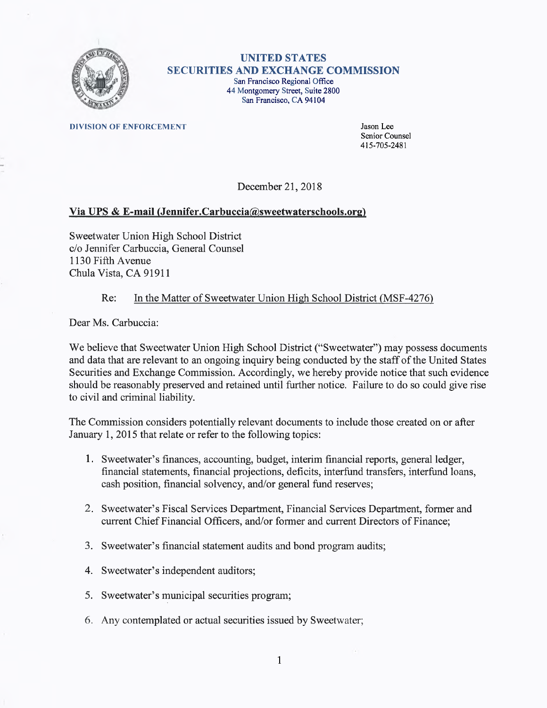

## UNITED STATES SECURITIES AND EXCHANGE COMMISSION San Francisco Regional Office 44 Montgomery Street, Suite 2800 San Francisco, CA 94104

**DIVISION OF ENFORCEMENT** Jason Lee

Senior Counsel 415-705-2481

December 21, 2018

## Via UPS & E-mail (Jennifer.Carbuccia@sweetwaterschools.org)

Sweetwater Union High School District c/o Jennifer Carbuccia, General Counsel 1130 Fifth Avenue Chula Vista, CA 91911

## Re: In the Matter of Sweetwater Union High School District (MSF-4276

Dear Ms. Carbuccia:

We believe that Sweetwater Union High School District ("Sweetwater") may possess documents and data that are relevant to an ongoing inquiry being conducted by the staff of the United States Securities and Exchange Commission. Accordingly, we hereby provide notice that such evidence should be reasonably preserved and retained until further notice. Failure to do so could give rise to civil and criminal liability.

The Commission considers potentially relevant documents to include those created on or after January 1, 2015 that relate or refer to the following topics:

- 1. Sweetwater's finances, accounting, budget, interim financial reports, general ledger, financial statements, financial projections, deficits, interfund transfers, interfund loans, cash position, financial solvency, and/or general fund reserves;
- 2. Sweetwater's Fiscal Services Department, Financial Services Department, former and current Chief Financial Officers, and/or former and current Directors of Finance;
- 3. Sweetwater's financial statement audits and bond program audits;
- 4. Sweetwater's independent auditors;
- 5. Sweetwater's municipal securities program;
- 6. Any contemplated or actual securities issued by Sweetwater;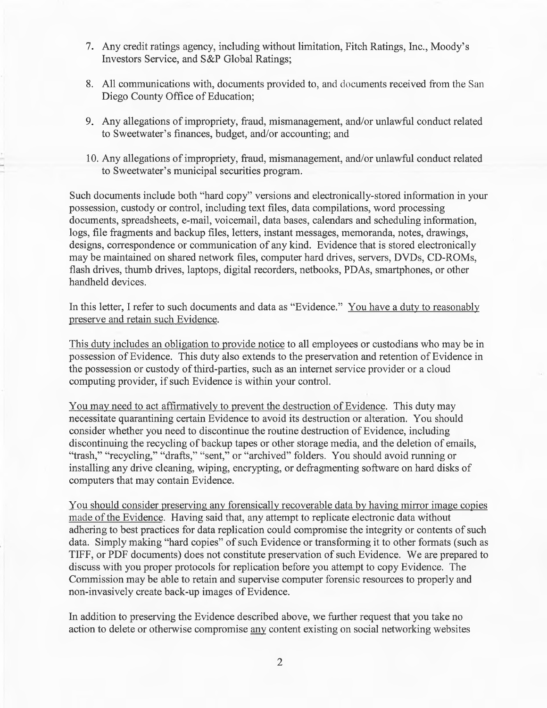- 7. Any credit ratings agency, including without limitation, Fitch Ratings, Inc., Moody's Investors Service, and S&P Global Ratings;
- 8. All communications with, documents provided to, and documents received from the San Diego County Office of Education;
- 9. Any allegations of impropriety, fraud, mismanagement, and/or unlawful conduct related to Sweetwater's finances, budget, and/or accounting; and
- 10. Any allegations of impropriety, fraud, mismanagement, and/or unlawful conduct related to Sweetwater's municipal securities program.

Such documents include both "hard copy" versions and electronically-stored information in your possession, custody or control, including text files, data compilations, word processing documents, spreadsheets, e-mail, voicemail, data bases, calendars and scheduling information, logs, file fragments and backup files, letters, instant messages, memoranda, notes, drawings, designs, correspondence or communication of any kind. Evidence that is stored electronically maybe maintained on shared network files, computer hard drives, servers, DVDs, CD-ROMs, flash drives, thumb drives, laptops, digital recorders, netbooks, PDAs, smartphones, or other handheld devices.

In this letter, I refer to such documents and data as "Evidence." You have a duty to reasonably preserve and retain such Evidence.

This duty includes an obligation to provide notice to all employees or custodians who maybe in possession of Evidence. This duty also extends to the preservation and retention of Evidence in the possession or custody of third-parties, such as an internet service provider or a cloud computing provider, if such Evidence is within your control.

You may need to act affirmatively to prevent the destruction of Evidence. This duty may necessitate quarantining certain Evidence to avoid its destruction or alteration. You should consider whether you need to discontinue the routine destruction of Evidence, including discontinuing the recycling of backup tapes or other storage media, and the deletion of emails, "trash," "recycling," "drafts," "sent," or "archived" folders. You should avoid running or installing any drive cleaning, wiping, encrypting, or defragmenting software on hard disks of computers that may contain Evidence.

You should consider preserving any forensically recoverable data by having mirror image copies made of the Evidence. Having said that, any attempt to replicate electronic data without adhering to best practices for data replication could compromise the integrity or contents of such data. Simply making "hard copies" of such Evidence or transforming it to other formats (such as TIFF, or PDF documents) does not constitute preservation of such Evidence. We are prepared to discuss with you proper protocols for replication before you attempt to copy Evidence. The Commission maybe able to retain and supervise computer forensic resources to properly and non-invasively create back-up images of Evidence.

In addition to preserving the Evidence described above, we further request that you take no action to delete or otherwise compromise any content existing on social networking websites